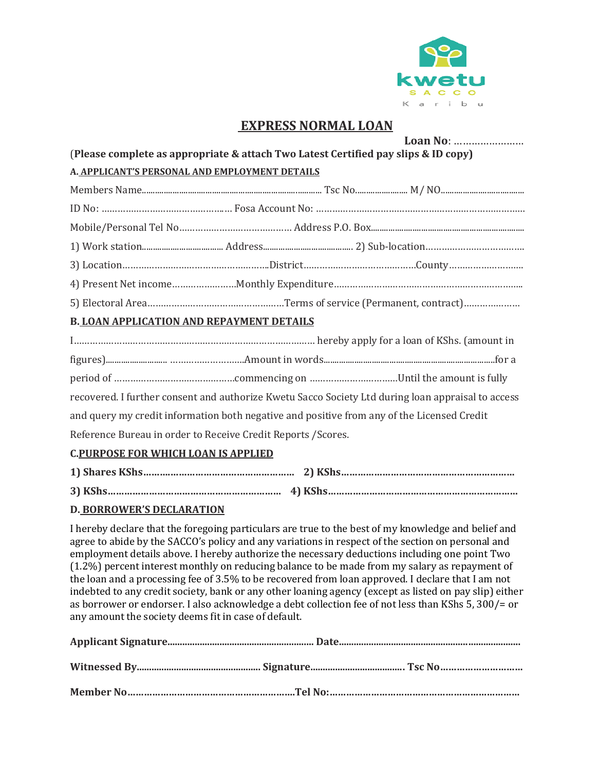

## **EXPRESS NORMAL LOAN**

|                                                                                    |  | Loan No:                                                                                           |  |  |  |  |
|------------------------------------------------------------------------------------|--|----------------------------------------------------------------------------------------------------|--|--|--|--|
| (Please complete as appropriate & attach Two Latest Certified pay slips & ID copy) |  |                                                                                                    |  |  |  |  |
| A. APPLICANT'S PERSONAL AND EMPLOYMENT DETAILS                                     |  |                                                                                                    |  |  |  |  |
|                                                                                    |  |                                                                                                    |  |  |  |  |
|                                                                                    |  |                                                                                                    |  |  |  |  |
|                                                                                    |  |                                                                                                    |  |  |  |  |
|                                                                                    |  |                                                                                                    |  |  |  |  |
|                                                                                    |  |                                                                                                    |  |  |  |  |
|                                                                                    |  |                                                                                                    |  |  |  |  |
|                                                                                    |  |                                                                                                    |  |  |  |  |
| <b>B. LOAN APPLICATION AND REPAYMENT DETAILS</b>                                   |  |                                                                                                    |  |  |  |  |
|                                                                                    |  |                                                                                                    |  |  |  |  |
|                                                                                    |  |                                                                                                    |  |  |  |  |
|                                                                                    |  |                                                                                                    |  |  |  |  |
|                                                                                    |  | recovered. I further consent and authorize Kwetu Sacco Society Ltd during loan appraisal to access |  |  |  |  |
|                                                                                    |  | and query my credit information both negative and positive from any of the Licensed Credit         |  |  |  |  |
| Reference Bureau in order to Receive Credit Reports / Scores.                      |  |                                                                                                    |  |  |  |  |
| <b>C.PURPOSE FOR WHICH LOAN IS APPLIED</b>                                         |  |                                                                                                    |  |  |  |  |

# **1) Shares KShs……….……………………………………… 2) KShs……………………………………………………… 3) KShs……………………………………………………… 4) KShs……………………………………………………………**

### **D. BORROWER'S DECLARATION**

I hereby declare that the foregoing particulars are true to the best of my knowledge and belief and agree to abide by the SACCO's policy and any variations in respect of the section on personal and employment details above. I hereby authorize the necessary deductions including one point Two (1.2%) percent interest monthly on reducing balance to be made from my salary as repayment of the loan and a processing fee of 3.5% to be recovered from loan approved. I declare that I am not indebted to any credit society, bank or any other loaning agency (except as listed on pay slip) either as borrower or endorser. I also acknowledge a debt collection fee of not less than KShs 5, 300/= or any amount the society deems fit in case of default.